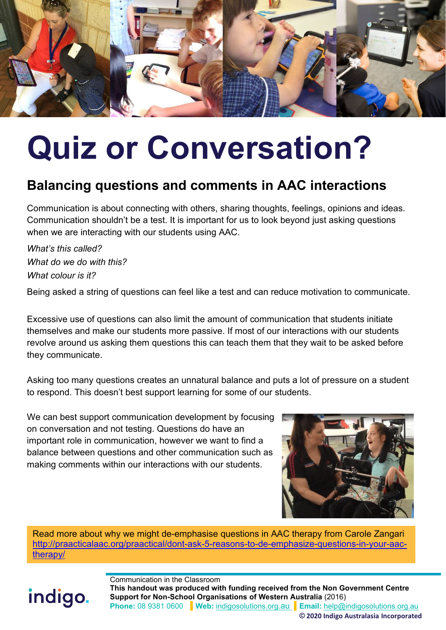

# **Quiz or Conversation?**

### **Balancing questions and comments in AAC interactions**

Communication is about connecting with others, sharing thoughts, feelings, opinions and ideas. Communication shouldn't be a test. It is important for us to look beyond just asking questions when we are interacting with our students using AAC.

*What's this called? What do we do with this? What colour is it?*

Being asked a string of questions can feel like a test and can reduce motivation to communicate.

Excessive use of questions can also limit the amount of communication that students initiate themselves and make our students more passive. If most of our interactions with our students revolve around us asking them questions this can teach them that they wait to be asked before they communicate.

Asking too many questions creates an unnatural balance and puts a lot of pressure on a student to respond. This doesn't best support learning for some of our students.

We can best support communication development by focusing on conversation and not testing. Questions do have an important role in communication, however we want to find a balance between questions and other communication such as making comments within our interactions with our students.



Read more about why we might de-emphasise questions in AAC therapy from Carole Zangari [http://praacticalaac.org/praactical/dont-ask-5-reasons-to-de-emphasize-questions-in-your-aac](http://praacticalaac.org/praactical/dont-ask-5-reasons-to-de-emphasize-questions-in-your-aac-therapy/)[therapy/](http://praacticalaac.org/praactical/dont-ask-5-reasons-to-de-emphasize-questions-in-your-aac-therapy/)

# indigo.

Communication in the Classroom **This handout was produced with funding received from the Non Government Centre Support for Non-School Organisations of Western Australia** (2016) **Phone:** 08 9381 0600 **Web:** [indigosolutions.org.au](https://www.indigosolutions.org.au/) **Email:** [help@indigosolutions.org.au](mailto:help@indigosolutions.org.au) **© 2020 Indigo Australasia Incorporated**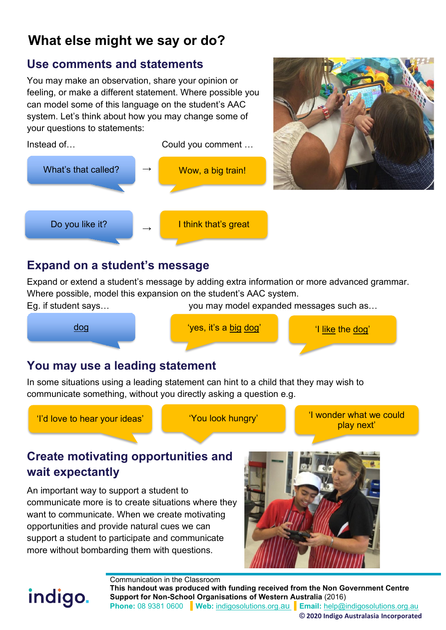## **What else might we say or do?**

#### **Use comments and statements**

You may make an observation, share your opinion or feeling, or make a different statement. Where possible you can model some of this language on the student's AAC system. Let's think about how you may change some of your questions to statements:





Expand or extend a student's message by adding extra information or more advanced grammar. Where possible, model this expansion on the student's AAC system.



#### **You may use a leading statement**

In some situations using a leading statement can hint to a child that they may wish to communicate something, without you directly asking a question e.g.

indigo.

'I'd love to hear your ideas'  $\begin{bmatrix} \cdot & \cdot & \cdot \\ \cdot & \cdot & \cdot \end{bmatrix}$  'I wonder what we could play next'

#### **Create motivating opportunities and wait expectantly**

An important way to support a student to communicate more is to create situations where they want to communicate. When we create motivating opportunities and provide natural cues we can support a student to participate and communicate more without bombarding them with questions.



Communication in the Classroom **This handout was produced with funding received from the Non Government Centre Support for Non-School Organisations of Western Australia** (2016) **Phone:** 08 9381 0600 **Web:** [indigosolutions.org.au](https://www.indigosolutions.org.au/) **Email:** [help@indigosolutions.org.au](mailto:help@indigosolutions.org.au)

**© 2020 Indigo Australasia Incorporated**